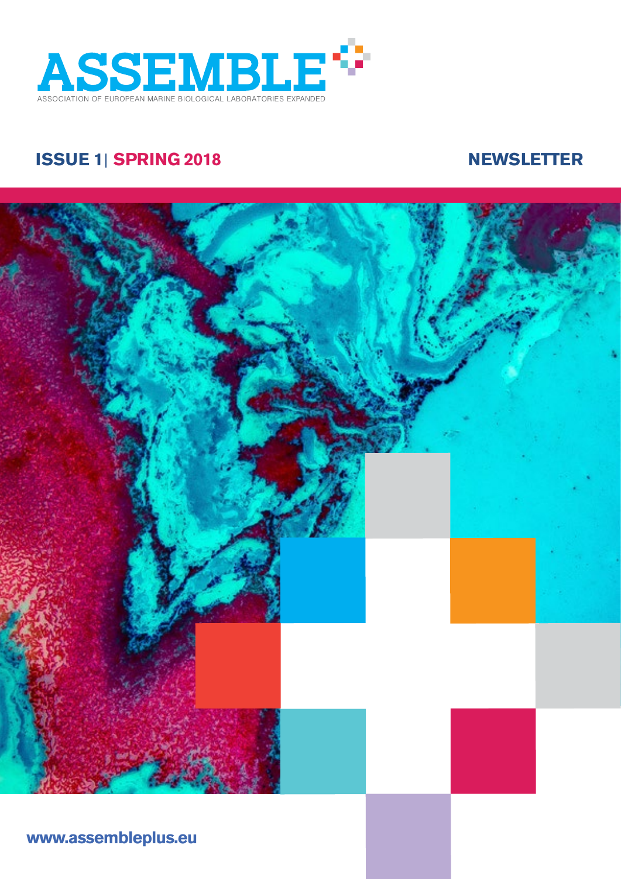

# **ISSUE 1 ISSUE 1 SPRING 2018 NEWSLETTER**



**[www](http://www.twitter.com/eu_ATLAS).assembleplus.eu**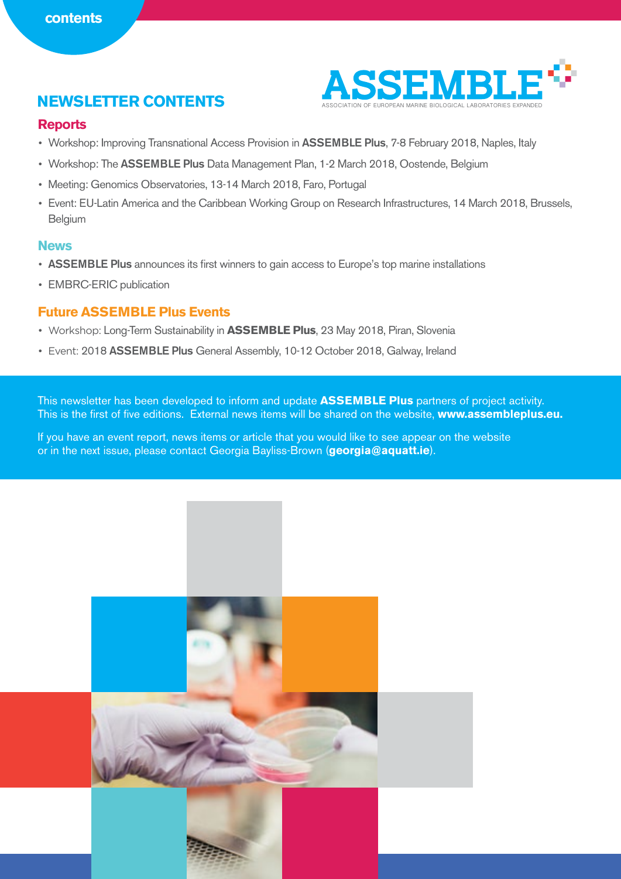

#### **Reports**

- Workshop: Improving Transnational Access Provision in ASSEMBLE Plus, 7-8 February 2018, Naples, Italy
- Workshop: The ASSEMBLE Plus Data Management Plan, 1-2 March 2018, Oostende, Belgium
- Meeting: Genomics Observatories, 13-14 March 2018, Faro, Portugal
- Event: EU-Latin America and the Caribbean Working Group on Research Infrastructures, 14 March 2018, Brussels, Belgium

#### **News**

- ASSEMBLE Plus announces its first winners to gain access to Europe's top marine installations
- EMBRC-ERIC publication

### **Future ASSEMBLE Plus Events**

- Workshop: Long-Term Sustainability in **ASSEMBLE Plus**, 23 May 2018, Piran, Slovenia
- Event: 2018 ASSEMBLE Plus General Assembly, 10-12 October 2018, Galway, Ireland

This newsletter has been developed to inform and update **ASSEMBLE Plus** partners of project activity. This is the first of five editions. External news items will be shared on the website, **www.assembleplus.eu.** 

If you have an event report, news items or article that you would like to see appear on the website or in the next issue, please contact Georgia Bayliss-Brown (**[georgia@aquatt.ie](mailto:georgia%40aquatt.ie?subject=)**).

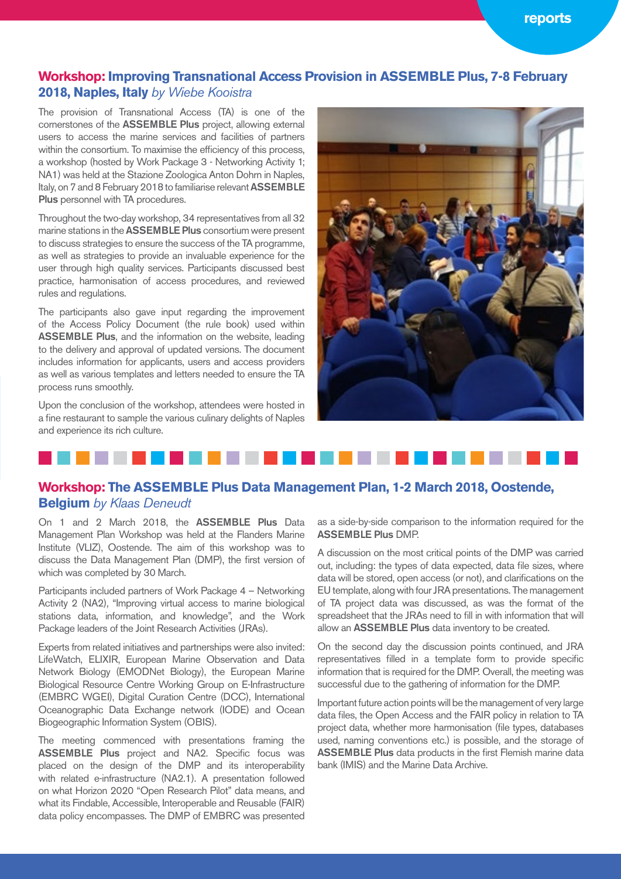### **Workshop: Improving Transnational Access Provision in ASSEMBLE Plus, 7-8 February 2018, Naples, Italy** *by Wiebe Kooistra*

The provision of Transnational Access (TA) is one of the cornerstones of the ASSEMBLE Plus project, allowing external users to access the marine services and facilities of partners within the consortium. To maximise the efficiency of this process, a workshop (hosted by Work Package 3 - Networking Activity 1; NA1) was held at the Stazione Zoologica Anton Dohrn in Naples, Italy, on 7 and 8 February 2018 to familiarise relevant ASSEMBLE Plus personnel with TA procedures.

Throughout the two-day workshop, 34 representatives from all 32 marine stations in the ASSEMBLE Plus consortium were present to discuss strategies to ensure the success of the TA programme, as well as strategies to provide an invaluable experience for the user through high quality services. Participants discussed best practice, harmonisation of access procedures, and reviewed rules and regulations.

The participants also gave input regarding the improvement of the Access Policy Document (the rule book) used within ASSEMBLE Plus, and the information on the website, leading to the delivery and approval of updated versions. The document includes information for applicants, users and access providers as well as various templates and letters needed to ensure the TA process runs smoothly.

Upon the conclusion of the workshop, attendees were hosted in a fine restaurant to sample the various culinary delights of Naples and experience its rich culture.



### **Workshop: The ASSEMBLE Plus Data Management Plan, 1-2 March 2018, Oostende, Belgium** *by Klaas Deneudt*

On 1 and 2 March 2018, the ASSEMBLE Plus Data Management Plan Workshop was held at the Flanders Marine Institute (VLIZ), Oostende. The aim of this workshop was to discuss the Data Management Plan (DMP), the first version of which was completed by 30 March.

Participants included partners of Work Package 4 – Networking Activity 2 (NA2), "Improving virtual access to marine biological stations data, information, and knowledge", and the Work Package leaders of the Joint Research Activities (JRAs).

Experts from related initiatives and partnerships were also invited: LifeWatch, ELIXIR, European Marine Observation and Data Network Biology (EMODNet Biology), the European Marine Biological Resource Centre Working Group on E-Infrastructure (EMBRC WGEI), Digital Curation Centre (DCC), International Oceanographic Data Exchange network (IODE) and Ocean Biogeographic Information System (OBIS).

The meeting commenced with presentations framing the ASSEMBLE Plus project and NA2. Specific focus was placed on the design of the DMP and its interoperability with related e-infrastructure (NA2.1). A presentation followed on what Horizon 2020 "Open Research Pilot" data means, and what its Findable, Accessible, Interoperable and Reusable (FAIR) data policy encompasses. The DMP of EMBRC was presented

as a side-by-side comparison to the information required for the ASSEMBLE Plus DMP.

A discussion on the most critical points of the DMP was carried out, including: the types of data expected, data file sizes, where data will be stored, open access (or not), and clarifications on the EU template, along with four JRA presentations. The management of TA project data was discussed, as was the format of the spreadsheet that the JRAs need to fill in with information that will allow an ASSEMBLE Plus data inventory to be created.

On the second day the discussion points continued, and JRA representatives filled in a template form to provide specific information that is required for the DMP. Overall, the meeting was successful due to the gathering of information for the DMP.

Important future action points will be the management of very large data files, the Open Access and the FAIR policy in relation to TA project data, whether more harmonisation (file types, databases used, naming conventions etc.) is possible, and the storage of ASSEMBLE Plus data products in the first Flemish marine data bank (IMIS) and the Marine Data Archive.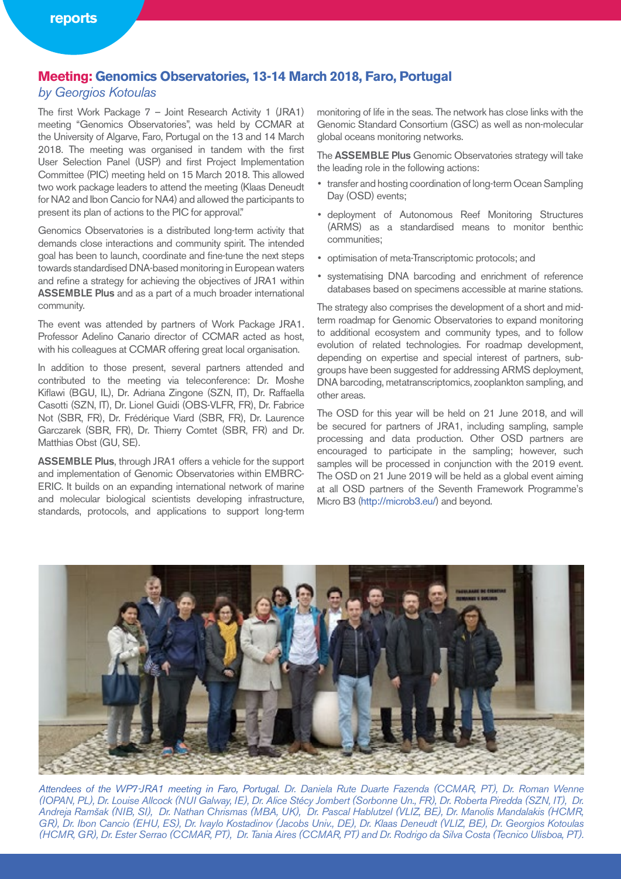#### **Meeting: Genomics Observatories, 13-14 March 2018, Faro, Portugal**

#### *by Georgios Kotoulas*

The first Work Package 7 – Joint Research Activity 1 (JRA1) meeting "Genomics Observatories", was held by CCMAR at the University of Algarve, Faro, Portugal on the 13 and 14 March 2018. The meeting was organised in tandem with the first User Selection Panel (USP) and first Project Implementation Committee (PIC) meeting held on 15 March 2018. This allowed two work package leaders to attend the meeting (Klaas Deneudt for NA2 and Ibon Cancio for NA4) and allowed the participants to present its plan of actions to the PIC for approval."

Genomics Observatories is a distributed long-term activity that demands close interactions and community spirit. The intended goal has been to launch, coordinate and fine-tune the next steps towards standardised DNA-based monitoring in European waters and refine a strategy for achieving the objectives of JRA1 within ASSEMBLE Plus and as a part of a much broader international community.

The event was attended by partners of Work Package JRA1. Professor Adelino Canario director of CCMAR acted as host, with his colleagues at CCMAR offering great local organisation.

In addition to those present, several partners attended and contributed to the meeting via teleconference: Dr. Moshe Kiflawi (BGU, IL), Dr. Adriana Zingone (SZN, IT), Dr. Raffaella Casotti (SZN, IT), Dr. Lionel Guidi (OBS-VLFR, FR), Dr. Fabrice Not (SBR, FR), Dr. Frédérique Viard (SBR, FR), Dr. Laurence Garczarek (SBR, FR), Dr. Thierry Comtet (SBR, FR) and Dr. Matthias Obst (GU, SE).

ASSEMBLE Plus, through JRA1 offers a vehicle for the support and implementation of Genomic Observatories within EMBRC-ERIC. It builds on an expanding international network of marine and molecular biological scientists developing infrastructure, standards, protocols, and applications to support long-term

monitoring of life in the seas. The network has close links with the Genomic Standard Consortium (GSC) as well as non-molecular global oceans monitoring networks.

The ASSEMBLE Plus Genomic Observatories strategy will take the leading role in the following actions:

- transfer and hosting coordination of long-term Ocean Sampling Day (OSD) events;
- deployment of Autonomous Reef Monitoring Structures (ARMS) as a standardised means to monitor benthic communities;
- optimisation of meta-Transcriptomic protocols; and
- systematising DNA barcoding and enrichment of reference databases based on specimens accessible at marine stations.

The strategy also comprises the development of a short and midterm roadmap for Genomic Observatories to expand monitoring to additional ecosystem and community types, and to follow evolution of related technologies. For roadmap development, depending on expertise and special interest of partners, subgroups have been suggested for addressing ARMS deployment, DNA barcoding, metatranscriptomics, zooplankton sampling, and other areas.

The OSD for this year will be held on 21 June 2018, and will be secured for partners of JRA1, including sampling, sample processing and data production. Other OSD partners are encouraged to participate in the sampling; however, such samples will be processed in conjunction with the 2019 event. The OSD on 21 June 2019 will be held as a global event aiming at all OSD partners of the Seventh Framework Programme's Micro B3 (http://microb3.eu/) and beyond.



*Attendees of the WP7-JRA1 meeting in Faro, Portugal. Dr. Daniela Rute Duarte Fazenda (CCMAR, PT), Dr. Roman Wenne (IOPAN, PL), Dr. Louise Allcock (NUI Galway, IE), Dr. Alice Stécy Jombert (Sorbonne Un., FR), Dr. Roberta Piredda (SZN, IT), Dr. Andreja Ramšak (NIB, SI), Dr. Nathan Chrismas (MBA, UK), Dr. Pascal Hablutzel (VLIZ, BE), Dr. Manolis Mandalakis (HCMR, GR), Dr. Ibon Cancio (EHU, ES), Dr. Ivaylo Kostadinov (Jacobs Univ., DE), Dr. Klaas Deneudt (VLIZ, BE), Dr. Georgios Kotoulas (HCMR, GR), Dr. Ester Serrao (CCMAR, PT), Dr. Tania Aires (CCMAR, PT) and Dr. Rodrigo da Silva Costa (Tecnico Ulisboa, PT).*